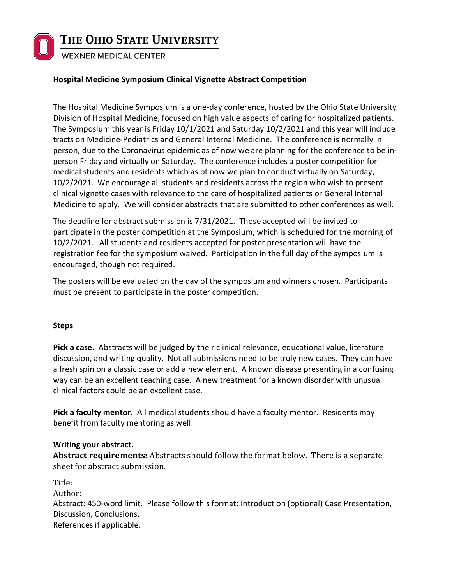

## **Hospital Medicine Symposium Clinical Vignette Abstract Competition**

The Hospital Medicine Symposium is a one-day conference, hosted by the Ohio State University Division of Hospital Medicine, focused on high value aspects of caring for hospitalized patients. The Symposium this year is Friday 10/1/2021 and Saturday 10/2/2021 and this year will include tracts on Medicine-Pediatrics and General Internal Medicine. The conference is normally in person, due to the Coronavirus epidemic as of now we are planning for the conference to be inperson Friday and virtually on Saturday. The conference includes a poster competition for medical students and residents which as of now we plan to conduct virtually on Saturday, 10/2/2021. We encourage all students and residents across the region who wish to present clinical vignette cases with relevance to the care of hospitalized patients or General Internal Medicine to apply. We will consider abstracts that are submitted to other conferences as well.

The deadline for abstract submission is 7/31/2021. Those accepted will be invited to participate in the poster competition at the Symposium, which is scheduled for the morning of 10/2/2021. All students and residents accepted for poster presentation will have the registration fee for the symposium waived. Participation in the full day of the symposium is encouraged, though not required.

The posters will be evaluated on the day of the symposium and winners chosen. Participants must be present to participate in the poster competition.

#### **Steps**

**Pick a case.** Abstracts will be judged by their clinical relevance, educational value, literature discussion, and writing quality. Not all submissions need to be truly new cases. They can have a fresh spin on a classic case or add a new element. A known disease presenting in a confusing way can be an excellent teaching case. A new treatment for a known disorder with unusual clinical factors could be an excellent case.

**Pick a faculty mentor.** All medical students should have a faculty mentor. Residents may benefit from faculty mentoring as well.

## **Writing your abstract.**

**Abstract requirements:** Abstracts should follow the format below. There is a separate sheet for abstract submission.

Title:

Author:

Abstract: 450-word limit. Please follow this format: Introduction (optional) Case Presentation, Discussion, Conclusions. References if applicable.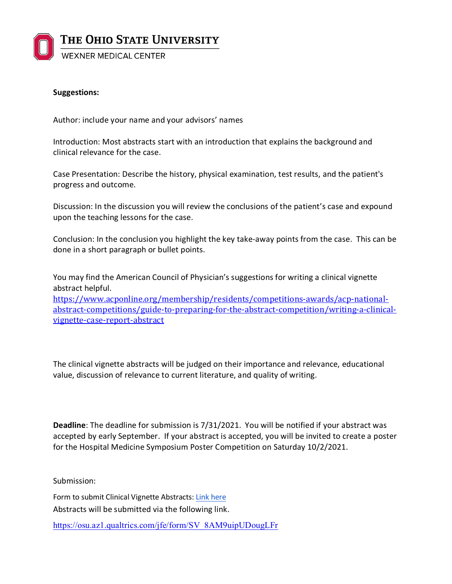

### **Suggestions:**

Author: include your name and your advisors' names

Introduction: Most abstracts start with an introduction that explains the background and clinical relevance for the case.

Case Presentation: Describe the history, physical examination, test results, and the patient's progress and outcome.

Discussion: In the discussion you will review the conclusions of the patient's case and expound upon the teaching lessons for the case.

Conclusion: In the conclusion you highlight the key take-away points from the case. This can be done in a short paragraph or bullet points.

You may find the American Council of Physician's suggestions for writing a clinical vignette abstract helpful. [https://www.acponline.org/membership/residents/competitions-awards/acp-national-](https://www.acponline.org/membership/residents/competitions-awards/acp-national-abstract-competitions/guide-to-preparing-for-the-abstract-competition/writing-a-clinical-vignette-case-report-abstract)

[abstract-competitions/guide-to-preparing-for-the-abstract-competition/writing-a-clinical](https://www.acponline.org/membership/residents/competitions-awards/acp-national-abstract-competitions/guide-to-preparing-for-the-abstract-competition/writing-a-clinical-vignette-case-report-abstract)[vignette-case-report-abstract](https://www.acponline.org/membership/residents/competitions-awards/acp-national-abstract-competitions/guide-to-preparing-for-the-abstract-competition/writing-a-clinical-vignette-case-report-abstract)

The clinical vignette abstracts will be judged on their importance and relevance, educational value, discussion of relevance to current literature, and quality of writing.

**Deadline**: The deadline for submission is 7/31/2021. You will be notified if your abstract was accepted by early September. If your abstract is accepted, you will be invited to create a poster for the Hospital Medicine Symposium Poster Competition on Saturday 10/2/2021.

Submission:

Form to submit Clinical Vignette Abstracts: [Link here](https://drive.google.com/file/d/1PCQHq9IU2gVwana1eTnVwkOqF0iaufSq/view?usp=sharing) Abstracts will be submitted via the following link.

https://osu.az1.qualtrics.com/jfe/form/SV\_8AM9uipUDougLFr